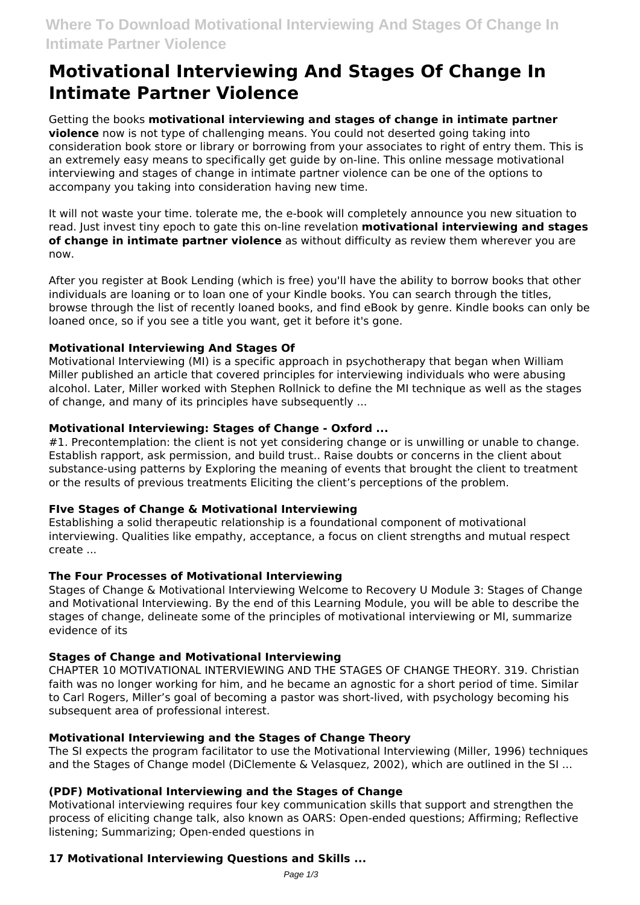# **Motivational Interviewing And Stages Of Change In Intimate Partner Violence**

Getting the books **motivational interviewing and stages of change in intimate partner violence** now is not type of challenging means. You could not deserted going taking into consideration book store or library or borrowing from your associates to right of entry them. This is an extremely easy means to specifically get guide by on-line. This online message motivational interviewing and stages of change in intimate partner violence can be one of the options to accompany you taking into consideration having new time.

It will not waste your time. tolerate me, the e-book will completely announce you new situation to read. Just invest tiny epoch to gate this on-line revelation **motivational interviewing and stages of change in intimate partner violence** as without difficulty as review them wherever you are now.

After you register at Book Lending (which is free) you'll have the ability to borrow books that other individuals are loaning or to loan one of your Kindle books. You can search through the titles, browse through the list of recently loaned books, and find eBook by genre. Kindle books can only be loaned once, so if you see a title you want, get it before it's gone.

## **Motivational Interviewing And Stages Of**

Motivational Interviewing (MI) is a specific approach in psychotherapy that began when William Miller published an article that covered principles for interviewing individuals who were abusing alcohol. Later, Miller worked with Stephen Rollnick to define the MI technique as well as the stages of change, and many of its principles have subsequently ...

## **Motivational Interviewing: Stages of Change - Oxford ...**

#1. Precontemplation: the client is not yet considering change or is unwilling or unable to change. Establish rapport, ask permission, and build trust.. Raise doubts or concerns in the client about substance-using patterns by Exploring the meaning of events that brought the client to treatment or the results of previous treatments Eliciting the client's perceptions of the problem.

## **FIve Stages of Change & Motivational Interviewing**

Establishing a solid therapeutic relationship is a foundational component of motivational interviewing. Qualities like empathy, acceptance, a focus on client strengths and mutual respect create ...

## **The Four Processes of Motivational Interviewing**

Stages of Change & Motivational Interviewing Welcome to Recovery U Module 3: Stages of Change and Motivational Interviewing. By the end of this Learning Module, you will be able to describe the stages of change, delineate some of the principles of motivational interviewing or MI, summarize evidence of its

# **Stages of Change and Motivational Interviewing**

CHAPTER 10 MOTIVATIONAL INTERVIEWING AND THE STAGES OF CHANGE THEORY. 319. Christian faith was no longer working for him, and he became an agnostic for a short period of time. Similar to Carl Rogers, Miller's goal of becoming a pastor was short-lived, with psychology becoming his subsequent area of professional interest.

# **Motivational Interviewing and the Stages of Change Theory**

The SI expects the program facilitator to use the Motivational Interviewing (Miller, 1996) techniques and the Stages of Change model (DiClemente & Velasquez, 2002), which are outlined in the SI ...

## **(PDF) Motivational Interviewing and the Stages of Change**

Motivational interviewing requires four key communication skills that support and strengthen the process of eliciting change talk, also known as OARS: Open-ended questions; Affirming; Reflective listening; Summarizing; Open-ended questions in

# **17 Motivational Interviewing Questions and Skills ...**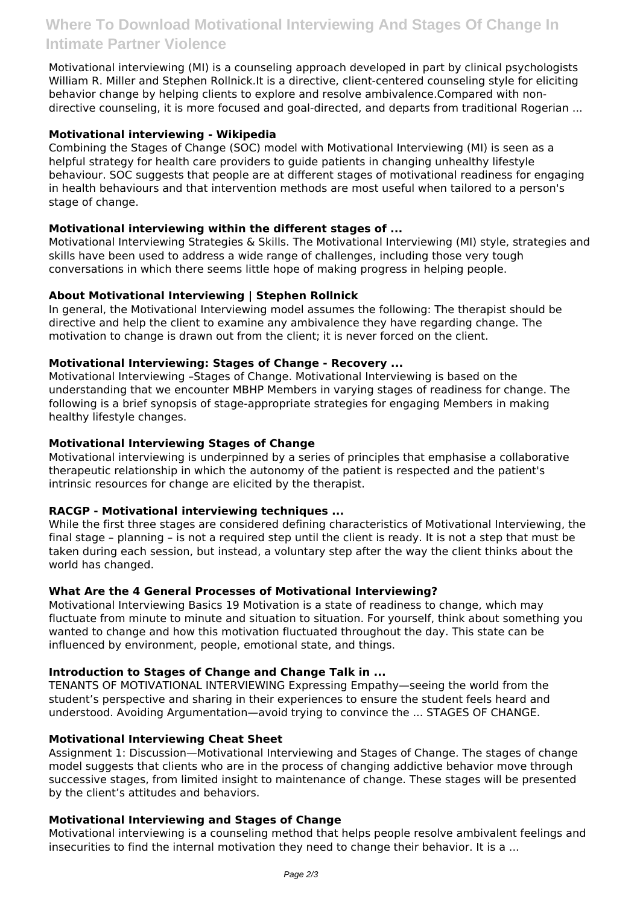Motivational interviewing (MI) is a counseling approach developed in part by clinical psychologists William R. Miller and Stephen Rollnick.It is a directive, client-centered counseling style for eliciting behavior change by helping clients to explore and resolve ambivalence.Compared with nondirective counseling, it is more focused and goal-directed, and departs from traditional Rogerian ...

## **Motivational interviewing - Wikipedia**

Combining the Stages of Change (SOC) model with Motivational Interviewing (MI) is seen as a helpful strategy for health care providers to guide patients in changing unhealthy lifestyle behaviour. SOC suggests that people are at different stages of motivational readiness for engaging in health behaviours and that intervention methods are most useful when tailored to a person's stage of change.

## **Motivational interviewing within the different stages of ...**

Motivational Interviewing Strategies & Skills. The Motivational Interviewing (MI) style, strategies and skills have been used to address a wide range of challenges, including those very tough conversations in which there seems little hope of making progress in helping people.

## **About Motivational Interviewing | Stephen Rollnick**

In general, the Motivational Interviewing model assumes the following: The therapist should be directive and help the client to examine any ambivalence they have regarding change. The motivation to change is drawn out from the client; it is never forced on the client.

## **Motivational Interviewing: Stages of Change - Recovery ...**

Motivational Interviewing –Stages of Change. Motivational Interviewing is based on the understanding that we encounter MBHP Members in varying stages of readiness for change. The following is a brief synopsis of stage-appropriate strategies for engaging Members in making healthy lifestyle changes.

## **Motivational Interviewing Stages of Change**

Motivational interviewing is underpinned by a series of principles that emphasise a collaborative therapeutic relationship in which the autonomy of the patient is respected and the patient's intrinsic resources for change are elicited by the therapist.

## **RACGP - Motivational interviewing techniques ...**

While the first three stages are considered defining characteristics of Motivational Interviewing, the final stage – planning – is not a required step until the client is ready. It is not a step that must be taken during each session, but instead, a voluntary step after the way the client thinks about the world has changed.

## **What Are the 4 General Processes of Motivational Interviewing?**

Motivational Interviewing Basics 19 Motivation is a state of readiness to change, which may fluctuate from minute to minute and situation to situation. For yourself, think about something you wanted to change and how this motivation fluctuated throughout the day. This state can be influenced by environment, people, emotional state, and things.

# **Introduction to Stages of Change and Change Talk in ...**

TENANTS OF MOTIVATIONAL INTERVIEWING Expressing Empathy—seeing the world from the student's perspective and sharing in their experiences to ensure the student feels heard and understood. Avoiding Argumentation—avoid trying to convince the ... STAGES OF CHANGE.

## **Motivational Interviewing Cheat Sheet**

Assignment 1: Discussion—Motivational Interviewing and Stages of Change. The stages of change model suggests that clients who are in the process of changing addictive behavior move through successive stages, from limited insight to maintenance of change. These stages will be presented by the client's attitudes and behaviors.

## **Motivational Interviewing and Stages of Change**

Motivational interviewing is a counseling method that helps people resolve ambivalent feelings and insecurities to find the internal motivation they need to change their behavior. It is a ...